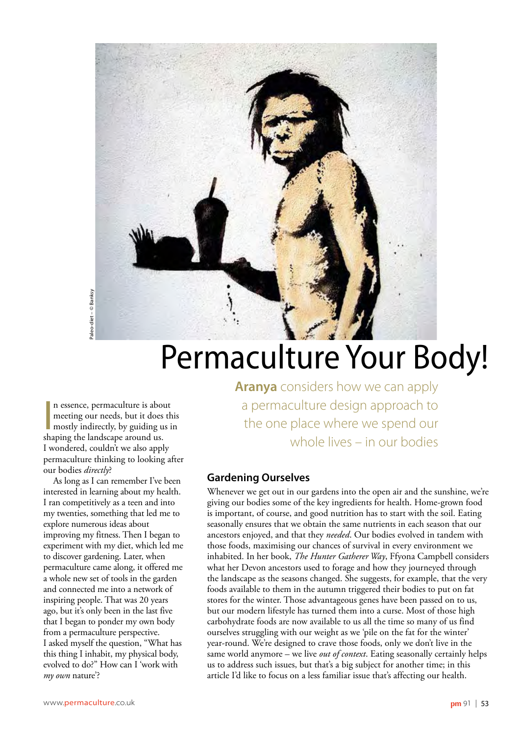

## Permaculture Your Body!

n essence, permaculture is aboutient is aboutined in the mostly indirectly, by guiding us.<br>Shaping the landscape around us. n essence, permaculture is about meeting our needs, but it does this mostly indirectly, by guiding us in I wondered, couldn't we also apply permaculture thinking to looking after our bodies *directly*?

As long as I can remember I've been interested in learning about my health. I ran competitively as a teen and into my twenties, something that led me to explore numerous ideas about improving my fitness. Then I began to experiment with my diet, which led me to discover gardening. Later, when permaculture came along, it offered me a whole new set of tools in the garden and connected me into a network of inspiring people. That was 20 years ago, but it's only been in the last five that I began to ponder my own body from a permaculture perspective. I asked myself the question, "What has this thing I inhabit, my physical body, evolved to do?" How can I 'work with *my own* nature'?

**Aranya** considers how we can apply a permaculture design approach to the one place where we spend our whole lives – in our bodies

## **Gardening Ourselves**

Whenever we get out in our gardens into the open air and the sunshine, we're giving our bodies some of the key ingredients for health. Home-grown food is important, of course, and good nutrition has to start with the soil. Eating seasonally ensures that we obtain the same nutrients in each season that our ancestors enjoyed, and that they *needed*. Our bodies evolved in tandem with those foods, maximising our chances of survival in every environment we inhabited. In her book, *The Hunter Gatherer Way*, Ffyona Campbell considers what her Devon ancestors used to forage and how they journeyed through the landscape as the seasons changed. She suggests, for example, that the very foods available to them in the autumn triggered their bodies to put on fat stores for the winter. Those advantageous genes have been passed on to us, but our modern lifestyle has turned them into a curse. Most of those high carbohydrate foods are now available to us all the time so many of us find ourselves struggling with our weight as we 'pile on the fat for the winter' year-round. We're designed to crave those foods, only we don't live in the same world anymore – we live *out of context*. Eating seasonally certainly helps us to address such issues, but that's a big subject for another time; in this article I'd like to focus on a less familiar issue that's affecting our health.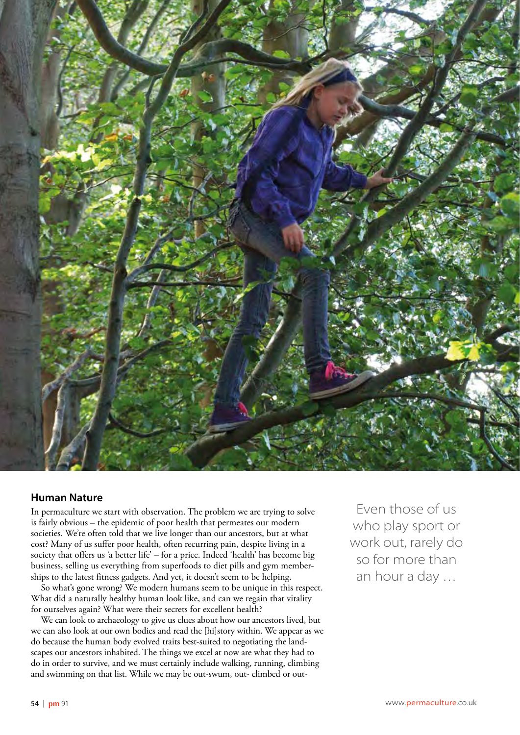

## **Human Nature**

In permaculture we start with observation. The problem we are trying to solve is fairly obvious – the epidemic of poor health that permeates our modern societies. We're often told that we live longer than our ancestors, but at what cost? Many of us suffer poor health, often recurring pain, despite living in a society that offers us 'a better life' – for a price. Indeed 'health' has become big business, selling us everything from superfoods to diet pills and gym memberships to the latest fitness gadgets. And yet, it doesn't seem to be helping.

So what's gone wrong? We modern humans seem to be unique in this respect. What did a naturally healthy human look like, and can we regain that vitality for ourselves again? What were their secrets for excellent health?

We can look to archaeology to give us clues about how our ancestors lived, but we can also look at our own bodies and read the [hi]story within. We appear as we do because the human body evolved traits best-suited to negotiating the landscapes our ancestors inhabited. The things we excel at now are what they had to do in order to survive, and we must certainly include walking, running, climbing and swimming on that list. While we may be out-swum, out- climbed or out-

Even those of us who play sport or work out, rarely do so for more than an hour a day …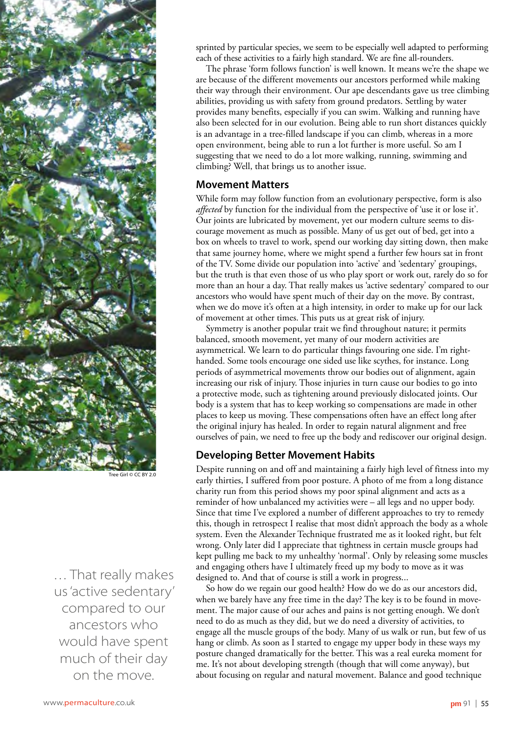

 $\overline{Girl}$  © CC BY 2.0

… That really makes us 'active sedentary' compared to our ancestors who would have spent much of their day on the move.

sprinted by particular species, we seem to be especially well adapted to performing each of these activities to a fairly high standard. We are fine all-rounders.

The phrase 'form follows function' is well known. It means we're the shape we are because of the different movements our ancestors performed while making their way through their environment. Our ape descendants gave us tree climbing abilities, providing us with safety from ground predators. Settling by water provides many benefits, especially if you can swim. Walking and running have also been selected for in our evolution. Being able to run short distances quickly is an advantage in a tree-filled landscape if you can climb, whereas in a more open environment, being able to run a lot further is more useful. So am I suggesting that we need to do a lot more walking, running, swimming and climbing? Well, that brings us to another issue.

#### **Movement Matters**

While form may follow function from an evolutionary perspective, form is also *affected* by function for the individual from the perspective of 'use it or lose it'. Our joints are lubricated by movement, yet our modern culture seems to discourage movement as much as possible. Many of us get out of bed, get into a box on wheels to travel to work, spend our working day sitting down, then make that same journey home, where we might spend a further few hours sat in front of the TV. Some divide our population into 'active' and 'sedentary' groupings, but the truth is that even those of us who play sport or work out, rarely do so for more than an hour a day. That really makes us 'active sedentary' compared to our ancestors who would have spent much of their day on the move. By contrast, when we do move it's often at a high intensity, in order to make up for our lack of movement at other times. This puts us at great risk of injury.

Symmetry is another popular trait we find throughout nature; it permits balanced, smooth movement, yet many of our modern activities are asymmetrical. We learn to do particular things favouring one side. I'm righthanded. Some tools encourage one sided use like scythes, for instance. Long periods of asymmetrical movements throw our bodies out of alignment, again increasing our risk of injury. Those injuries in turn cause our bodies to go into a protective mode, such as tightening around previously dislocated joints. Our body is a system that has to keep working so compensations are made in other places to keep us moving. These compensations often have an effect long after the original injury has healed. In order to regain natural alignment and free ourselves of pain, we need to free up the body and rediscover our original design.

## **Developing Better Movement Habits**

Despite running on and off and maintaining a fairly high level of fitness into my early thirties, I suffered from poor posture. A photo of me from a long distance charity run from this period shows my poor spinal alignment and acts as a reminder of how unbalanced my activities were – all legs and no upper body. Since that time I've explored a number of different approaches to try to remedy this, though in retrospect I realise that most didn't approach the body as a whole system. Even the Alexander Technique frustrated me as it looked right, but felt wrong. Only later did I appreciate that tightness in certain muscle groups had kept pulling me back to my unhealthy 'normal'. Only by releasing some muscles and engaging others have I ultimately freed up my body to move as it was designed to. And that of course is still a work in progress...

So how do we regain our good health? How do we do as our ancestors did, when we barely have any free time in the day? The key is to be found in movement. The major cause of our aches and pains is not getting enough. We don't need to do as much as they did, but we do need a diversity of activities, to engage all the muscle groups of the body. Many of us walk or run, but few of us hang or climb. As soon as I started to engage my upper body in these ways my posture changed dramatically for the better. This was a real eureka moment for me. It's not about developing strength (though that will come anyway), but about focusing on regular and natural movement. Balance and good technique